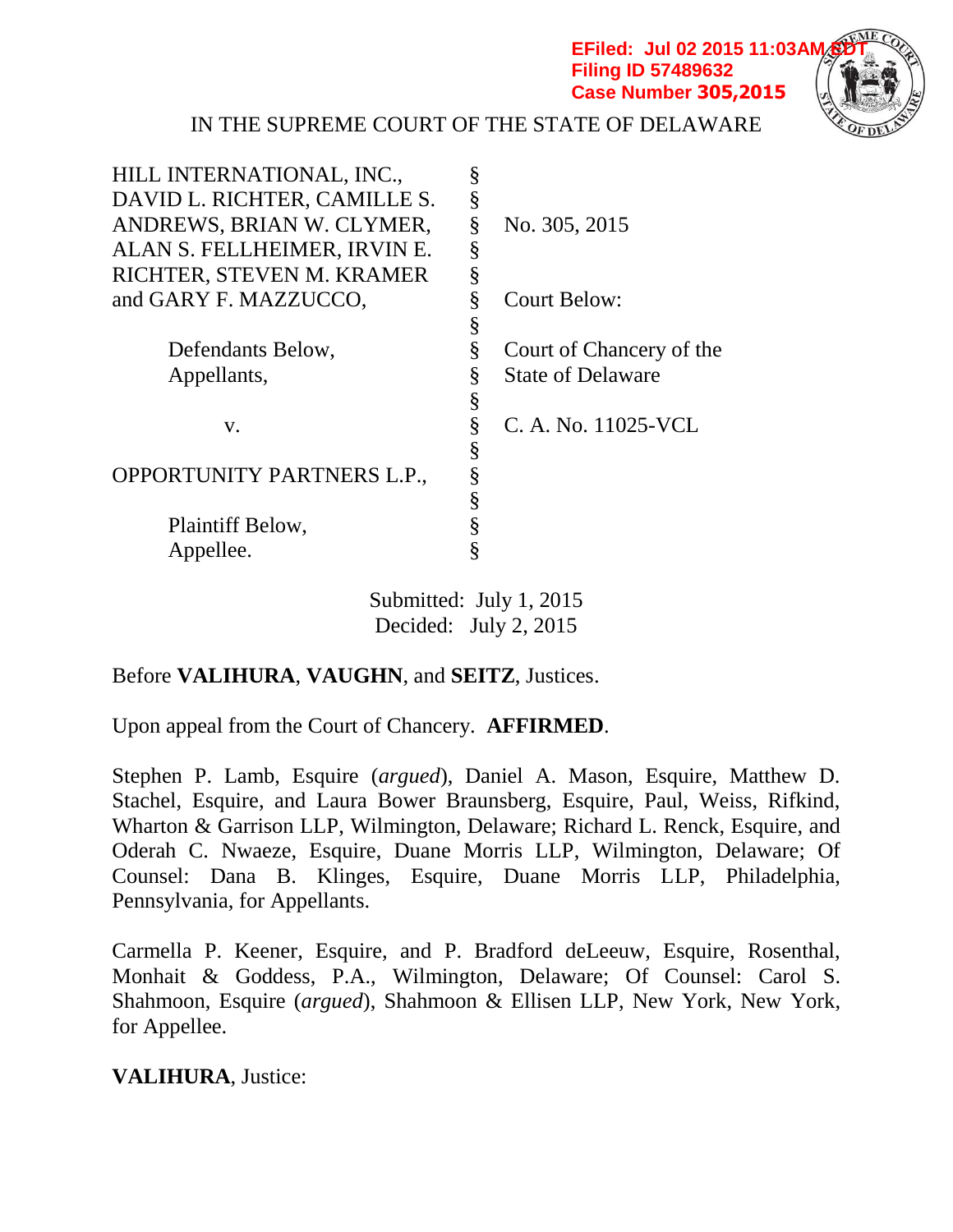**EFiled: Jul 02 2015 11:03AM Filing ID 57489632 Case Number 305,2015**



IN THE SUPREME COURT OF THE STATE OF DELAWARE

| HILL INTERNATIONAL, INC.,    | § |                          |
|------------------------------|---|--------------------------|
| DAVID L. RICHTER, CAMILLE S. | § |                          |
| ANDREWS, BRIAN W. CLYMER,    | § | No. 305, 2015            |
| ALAN S. FELLHEIMER, IRVIN E. | § |                          |
| RICHTER, STEVEN M. KRAMER    | § |                          |
| and GARY F. MAZZUCCO,        | § | <b>Court Below:</b>      |
|                              | § |                          |
| Defendants Below,            | § | Court of Chancery of the |
| Appellants,                  | § | <b>State of Delaware</b> |
|                              | § |                          |
| V.                           | § | C. A. No. 11025-VCL      |
|                              | § |                          |
| OPPORTUNITY PARTNERS L.P.,   | § |                          |
|                              | § |                          |
| Plaintiff Below,             | § |                          |
| Appellee.                    | § |                          |
|                              |   |                          |

Submitted: July 1, 2015 Decided: July 2, 2015

# Before **VALIHURA**, **VAUGHN**, and **SEITZ**, Justices.

Upon appeal from the Court of Chancery. **AFFIRMED**.

Stephen P. Lamb, Esquire (*argued*), Daniel A. Mason, Esquire, Matthew D. Stachel, Esquire, and Laura Bower Braunsberg, Esquire, Paul, Weiss, Rifkind, Wharton & Garrison LLP, Wilmington, Delaware; Richard L. Renck, Esquire, and Oderah C. Nwaeze, Esquire, Duane Morris LLP, Wilmington, Delaware; Of Counsel: Dana B. Klinges, Esquire, Duane Morris LLP, Philadelphia, Pennsylvania, for Appellants.

Carmella P. Keener, Esquire, and P. Bradford deLeeuw, Esquire, Rosenthal, Monhait & Goddess, P.A., Wilmington, Delaware; Of Counsel: Carol S. Shahmoon, Esquire (*argued*), Shahmoon & Ellisen LLP, New York, New York, for Appellee.

**VALIHURA**, Justice: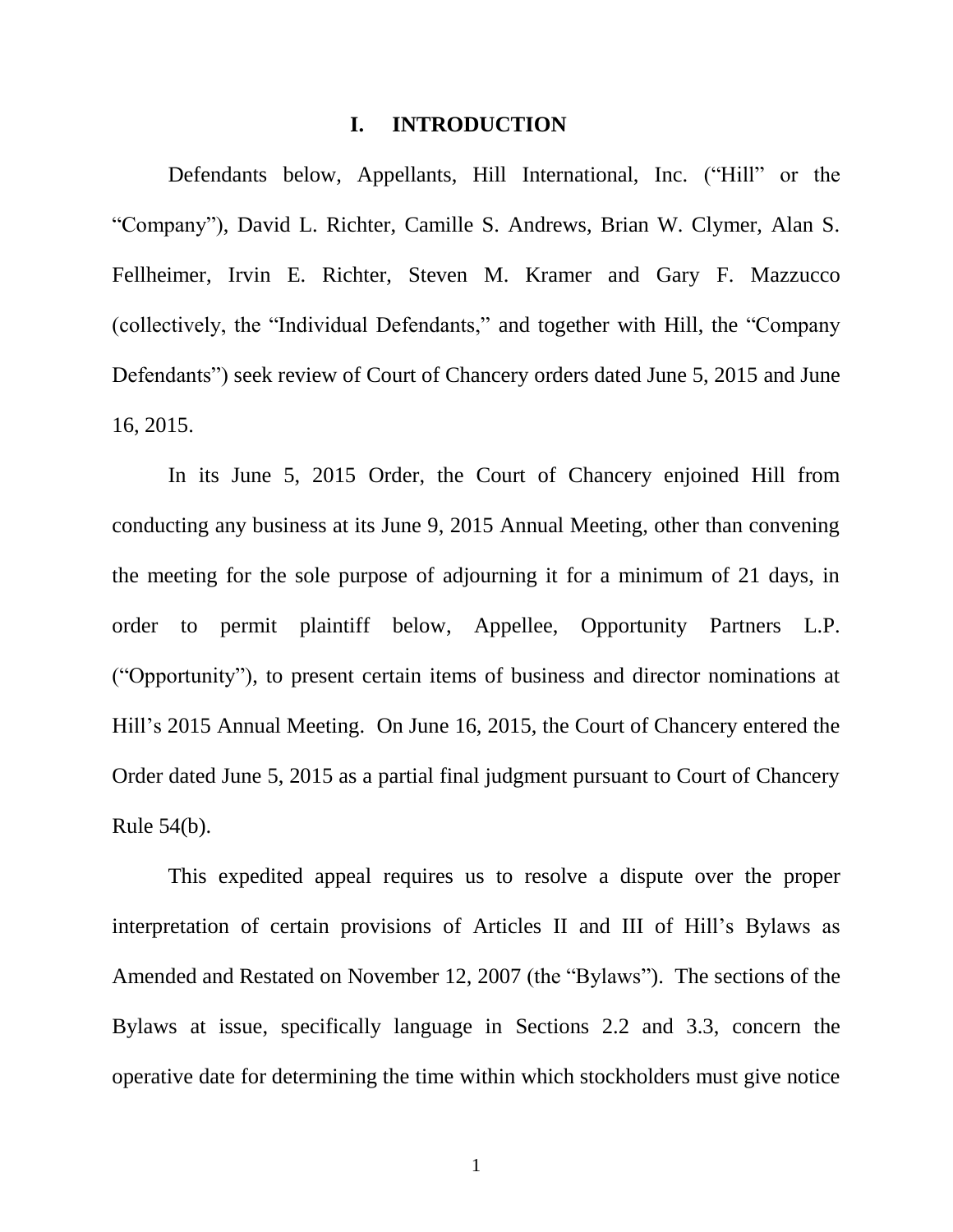#### **I. INTRODUCTION**

Defendants below, Appellants, Hill International, Inc. ("Hill" or the "Company"), David L. Richter, Camille S. Andrews, Brian W. Clymer, Alan S. Fellheimer, Irvin E. Richter, Steven M. Kramer and Gary F. Mazzucco (collectively, the "Individual Defendants," and together with Hill, the "Company Defendants") seek review of Court of Chancery orders dated June 5, 2015 and June 16, 2015.

In its June 5, 2015 Order, the Court of Chancery enjoined Hill from conducting any business at its June 9, 2015 Annual Meeting, other than convening the meeting for the sole purpose of adjourning it for a minimum of 21 days, in order to permit plaintiff below, Appellee, Opportunity Partners L.P. ("Opportunity"), to present certain items of business and director nominations at Hill's 2015 Annual Meeting. On June 16, 2015, the Court of Chancery entered the Order dated June 5, 2015 as a partial final judgment pursuant to Court of Chancery Rule 54(b).

This expedited appeal requires us to resolve a dispute over the proper interpretation of certain provisions of Articles II and III of Hill's Bylaws as Amended and Restated on November 12, 2007 (the "Bylaws"). The sections of the Bylaws at issue, specifically language in Sections 2.2 and 3.3, concern the operative date for determining the time within which stockholders must give notice

1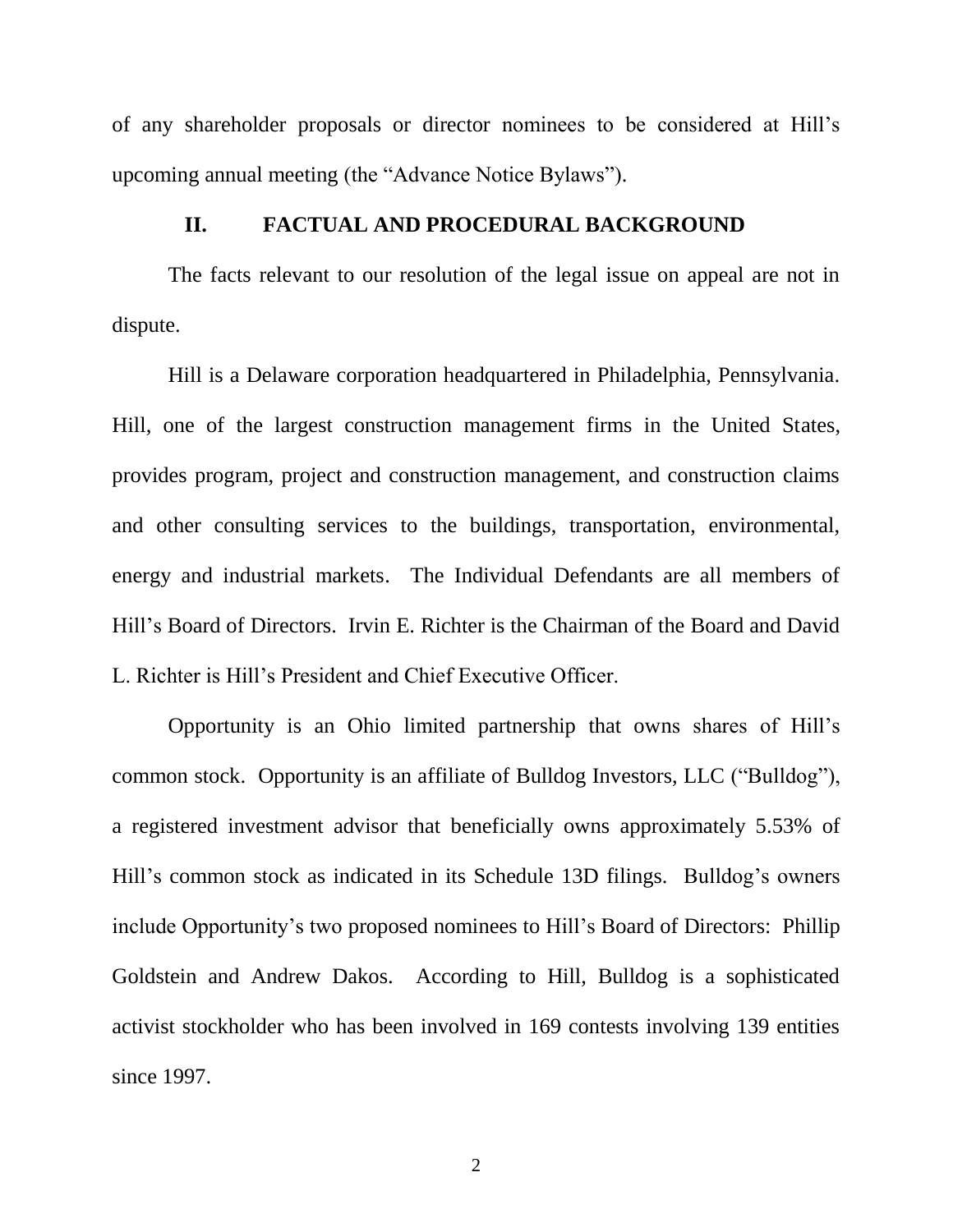of any shareholder proposals or director nominees to be considered at Hill's upcoming annual meeting (the "Advance Notice Bylaws").

#### **II. FACTUAL AND PROCEDURAL BACKGROUND**

The facts relevant to our resolution of the legal issue on appeal are not in dispute.

Hill is a Delaware corporation headquartered in Philadelphia, Pennsylvania. Hill, one of the largest construction management firms in the United States, provides program, project and construction management, and construction claims and other consulting services to the buildings, transportation, environmental, energy and industrial markets. The Individual Defendants are all members of Hill's Board of Directors. Irvin E. Richter is the Chairman of the Board and David L. Richter is Hill's President and Chief Executive Officer.

Opportunity is an Ohio limited partnership that owns shares of Hill's common stock. Opportunity is an affiliate of Bulldog Investors, LLC ("Bulldog"), a registered investment advisor that beneficially owns approximately 5.53% of Hill's common stock as indicated in its Schedule 13D filings. Bulldog's owners include Opportunity's two proposed nominees to Hill's Board of Directors: Phillip Goldstein and Andrew Dakos. According to Hill, Bulldog is a sophisticated activist stockholder who has been involved in 169 contests involving 139 entities since 1997.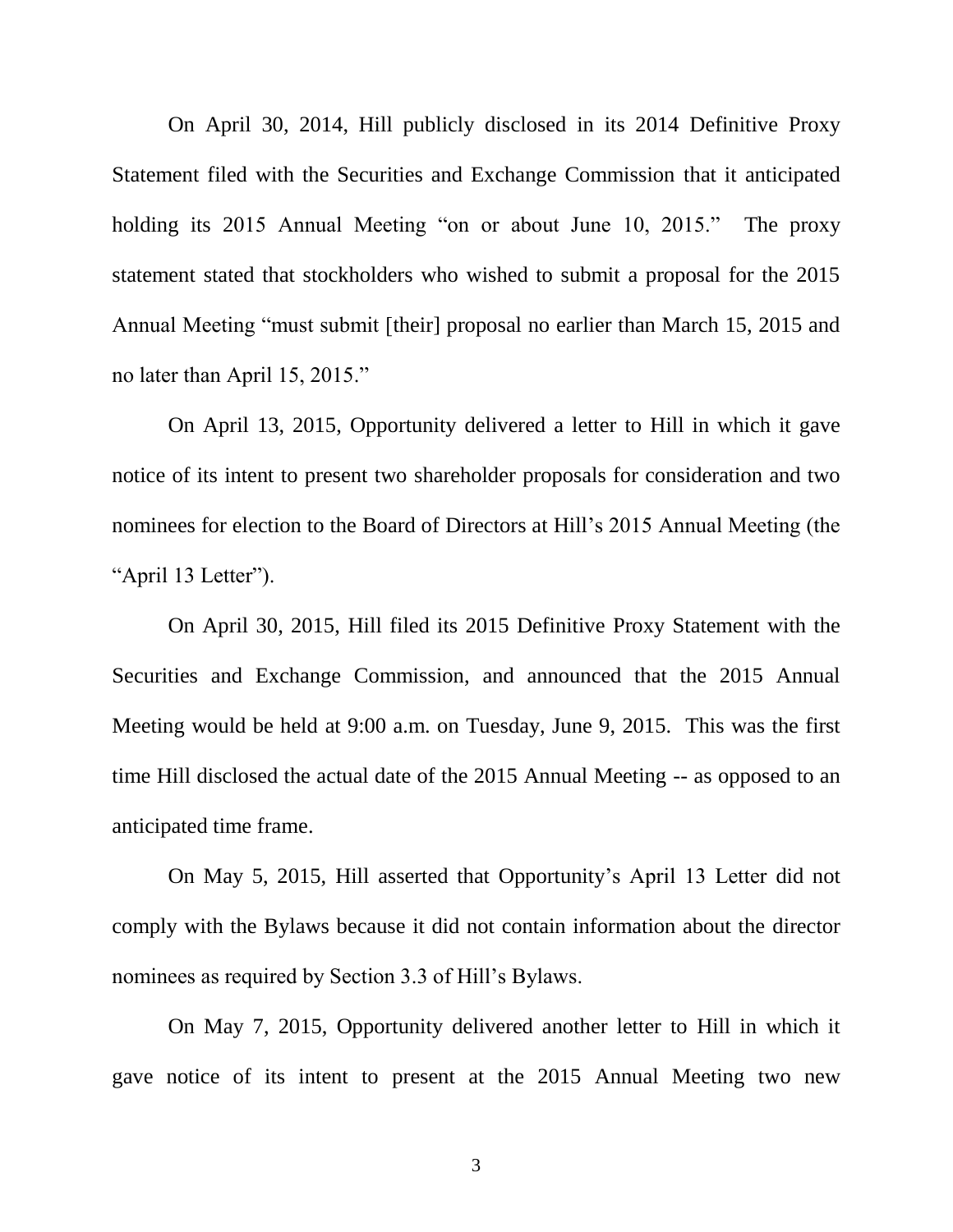On April 30, 2014, Hill publicly disclosed in its 2014 Definitive Proxy Statement filed with the Securities and Exchange Commission that it anticipated holding its 2015 Annual Meeting "on or about June 10, 2015." The proxy statement stated that stockholders who wished to submit a proposal for the 2015 Annual Meeting "must submit [their] proposal no earlier than March 15, 2015 and no later than April 15, 2015."

On April 13, 2015, Opportunity delivered a letter to Hill in which it gave notice of its intent to present two shareholder proposals for consideration and two nominees for election to the Board of Directors at Hill's 2015 Annual Meeting (the "April 13 Letter").

On April 30, 2015, Hill filed its 2015 Definitive Proxy Statement with the Securities and Exchange Commission, and announced that the 2015 Annual Meeting would be held at 9:00 a.m. on Tuesday, June 9, 2015. This was the first time Hill disclosed the actual date of the 2015 Annual Meeting -- as opposed to an anticipated time frame.

On May 5, 2015, Hill asserted that Opportunity's April 13 Letter did not comply with the Bylaws because it did not contain information about the director nominees as required by Section 3.3 of Hill's Bylaws.

On May 7, 2015, Opportunity delivered another letter to Hill in which it gave notice of its intent to present at the 2015 Annual Meeting two new

3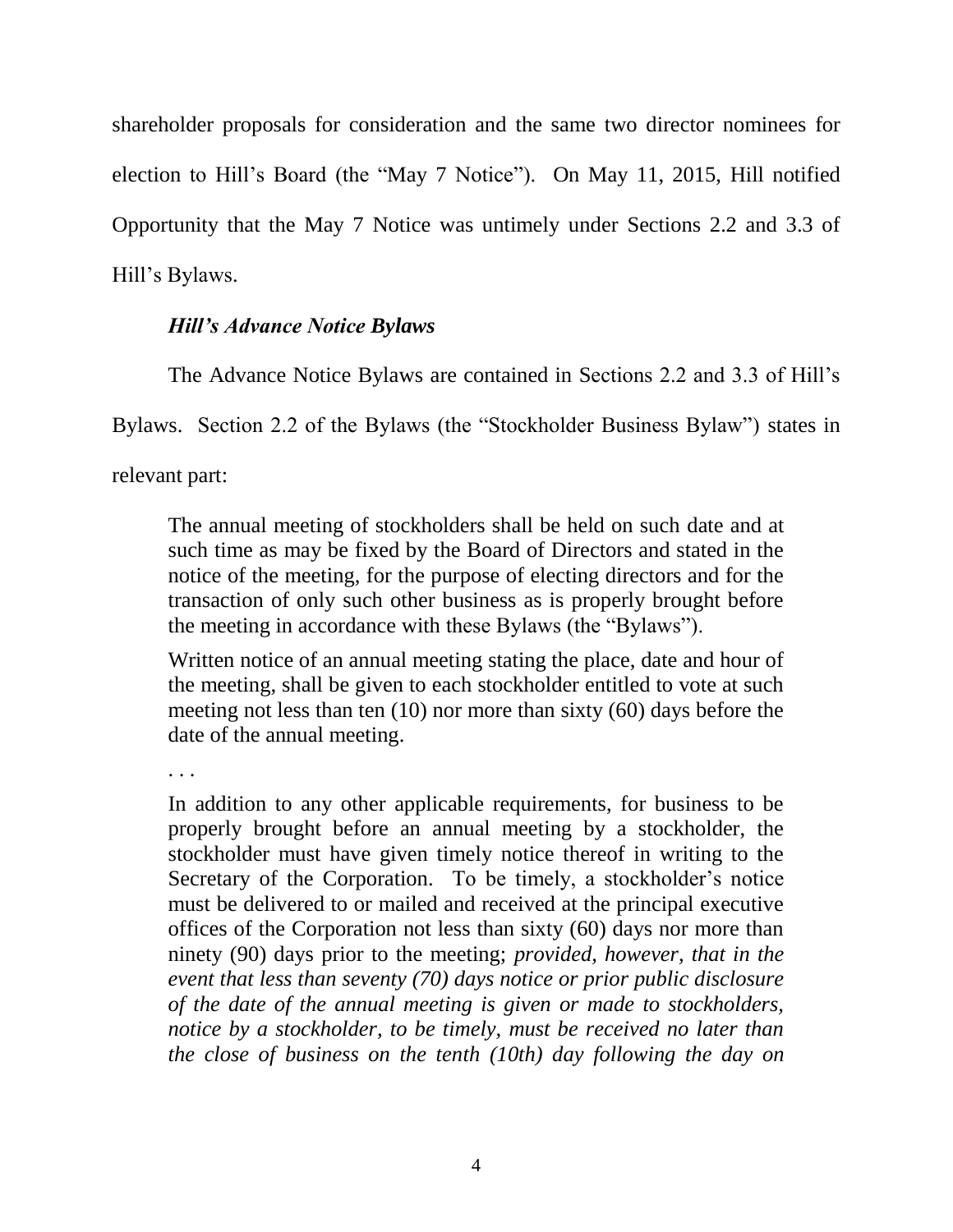shareholder proposals for consideration and the same two director nominees for election to Hill's Board (the "May 7 Notice"). On May 11, 2015, Hill notified Opportunity that the May 7 Notice was untimely under Sections 2.2 and 3.3 of Hill's Bylaws.

# *Hill's Advance Notice Bylaws*

The Advance Notice Bylaws are contained in Sections 2.2 and 3.3 of Hill's

Bylaws. Section 2.2 of the Bylaws (the "Stockholder Business Bylaw") states in

relevant part:

The annual meeting of stockholders shall be held on such date and at such time as may be fixed by the Board of Directors and stated in the notice of the meeting, for the purpose of electing directors and for the transaction of only such other business as is properly brought before the meeting in accordance with these Bylaws (the "Bylaws").

Written notice of an annual meeting stating the place, date and hour of the meeting, shall be given to each stockholder entitled to vote at such meeting not less than ten (10) nor more than sixty (60) days before the date of the annual meeting.

. . .

In addition to any other applicable requirements, for business to be properly brought before an annual meeting by a stockholder, the stockholder must have given timely notice thereof in writing to the Secretary of the Corporation. To be timely, a stockholder's notice must be delivered to or mailed and received at the principal executive offices of the Corporation not less than sixty (60) days nor more than ninety (90) days prior to the meeting; *provided, however, that in the event that less than seventy (70) days notice or prior public disclosure of the date of the annual meeting is given or made to stockholders, notice by a stockholder, to be timely, must be received no later than the close of business on the tenth (10th) day following the day on*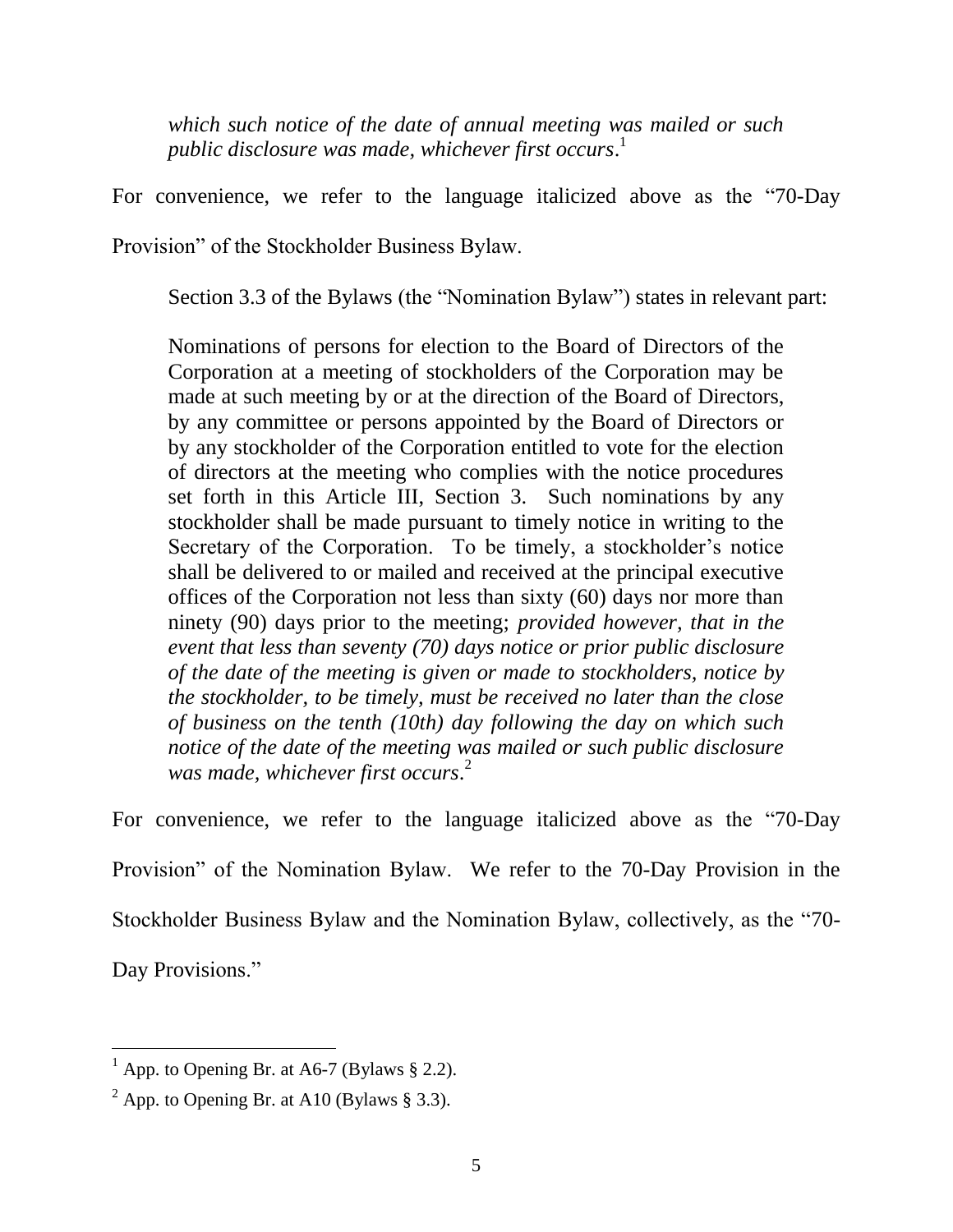*which such notice of the date of annual meeting was mailed or such public disclosure was made, whichever first occurs*. 1

For convenience, we refer to the language italicized above as the "70-Day

Provision" of the Stockholder Business Bylaw.

Section 3.3 of the Bylaws (the "Nomination Bylaw") states in relevant part:

Nominations of persons for election to the Board of Directors of the Corporation at a meeting of stockholders of the Corporation may be made at such meeting by or at the direction of the Board of Directors, by any committee or persons appointed by the Board of Directors or by any stockholder of the Corporation entitled to vote for the election of directors at the meeting who complies with the notice procedures set forth in this Article III, Section 3. Such nominations by any stockholder shall be made pursuant to timely notice in writing to the Secretary of the Corporation. To be timely, a stockholder's notice shall be delivered to or mailed and received at the principal executive offices of the Corporation not less than sixty (60) days nor more than ninety (90) days prior to the meeting; *provided however, that in the event that less than seventy (70) days notice or prior public disclosure of the date of the meeting is given or made to stockholders, notice by the stockholder, to be timely, must be received no later than the close of business on the tenth (10th) day following the day on which such notice of the date of the meeting was mailed or such public disclosure was made, whichever first occurs*. 2

For convenience, we refer to the language italicized above as the "70-Day Provision" of the Nomination Bylaw. We refer to the 70-Day Provision in the Stockholder Business Bylaw and the Nomination Bylaw, collectively, as the "70- Day Provisions."

 $<sup>1</sup>$  App. to Opening Br. at A6-7 (Bylaws § 2.2).</sup>

<sup>&</sup>lt;sup>2</sup> App. to Opening Br. at A10 (Bylaws § 3.3).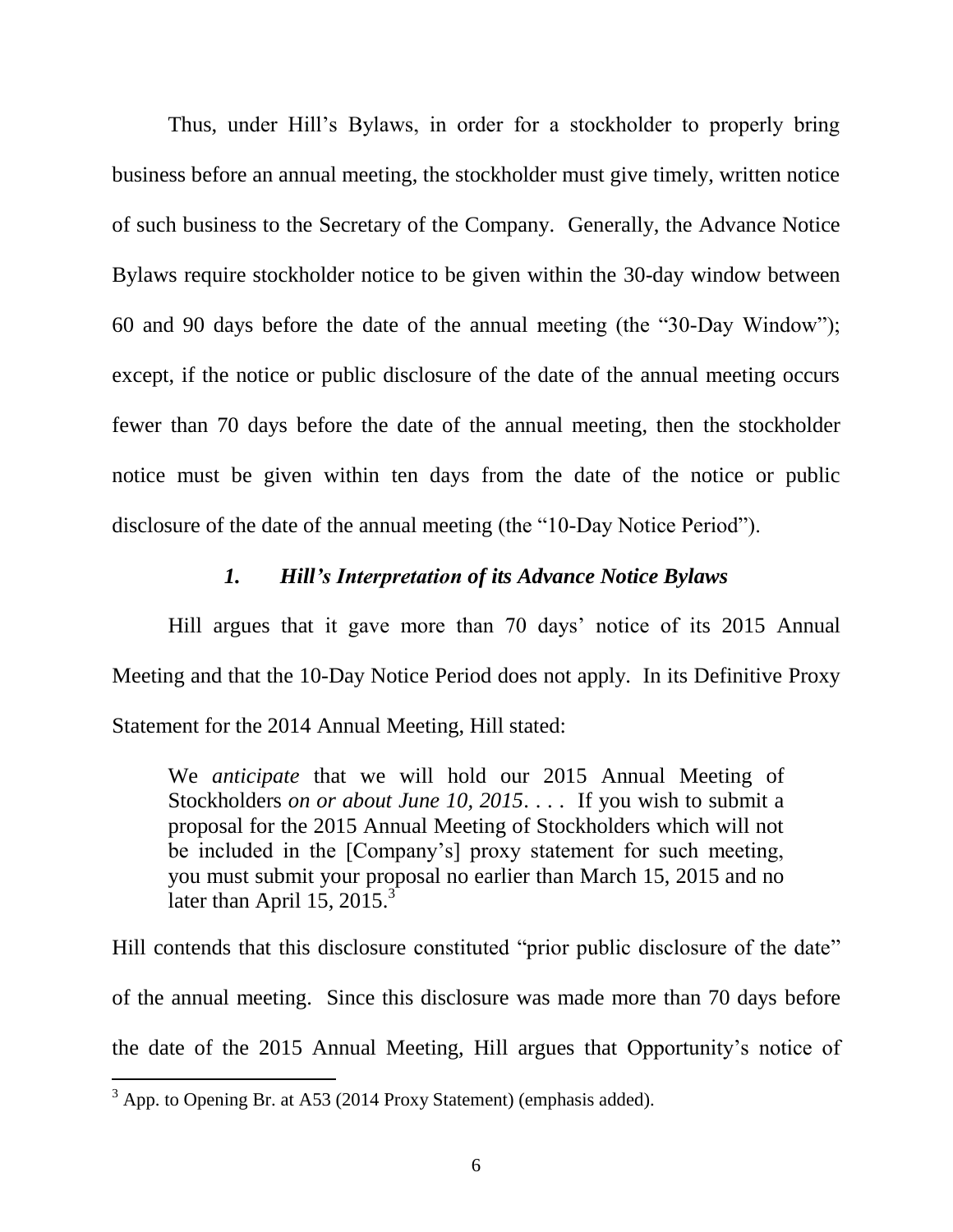Thus, under Hill's Bylaws, in order for a stockholder to properly bring business before an annual meeting, the stockholder must give timely, written notice of such business to the Secretary of the Company. Generally, the Advance Notice Bylaws require stockholder notice to be given within the 30-day window between 60 and 90 days before the date of the annual meeting (the "30-Day Window"); except, if the notice or public disclosure of the date of the annual meeting occurs fewer than 70 days before the date of the annual meeting, then the stockholder notice must be given within ten days from the date of the notice or public disclosure of the date of the annual meeting (the "10-Day Notice Period").

### *1. Hill's Interpretation of its Advance Notice Bylaws*

Hill argues that it gave more than 70 days' notice of its 2015 Annual Meeting and that the 10-Day Notice Period does not apply. In its Definitive Proxy Statement for the 2014 Annual Meeting, Hill stated:

We *anticipate* that we will hold our 2015 Annual Meeting of Stockholders *on or about June 10, 2015*. . . . If you wish to submit a proposal for the 2015 Annual Meeting of Stockholders which will not be included in the [Company's] proxy statement for such meeting, you must submit your proposal no earlier than March 15, 2015 and no later than April 15,  $2015.<sup>3</sup>$ 

Hill contends that this disclosure constituted "prior public disclosure of the date" of the annual meeting. Since this disclosure was made more than 70 days before the date of the 2015 Annual Meeting, Hill argues that Opportunity's notice of

 $3$  App. to Opening Br. at A53 (2014 Proxy Statement) (emphasis added).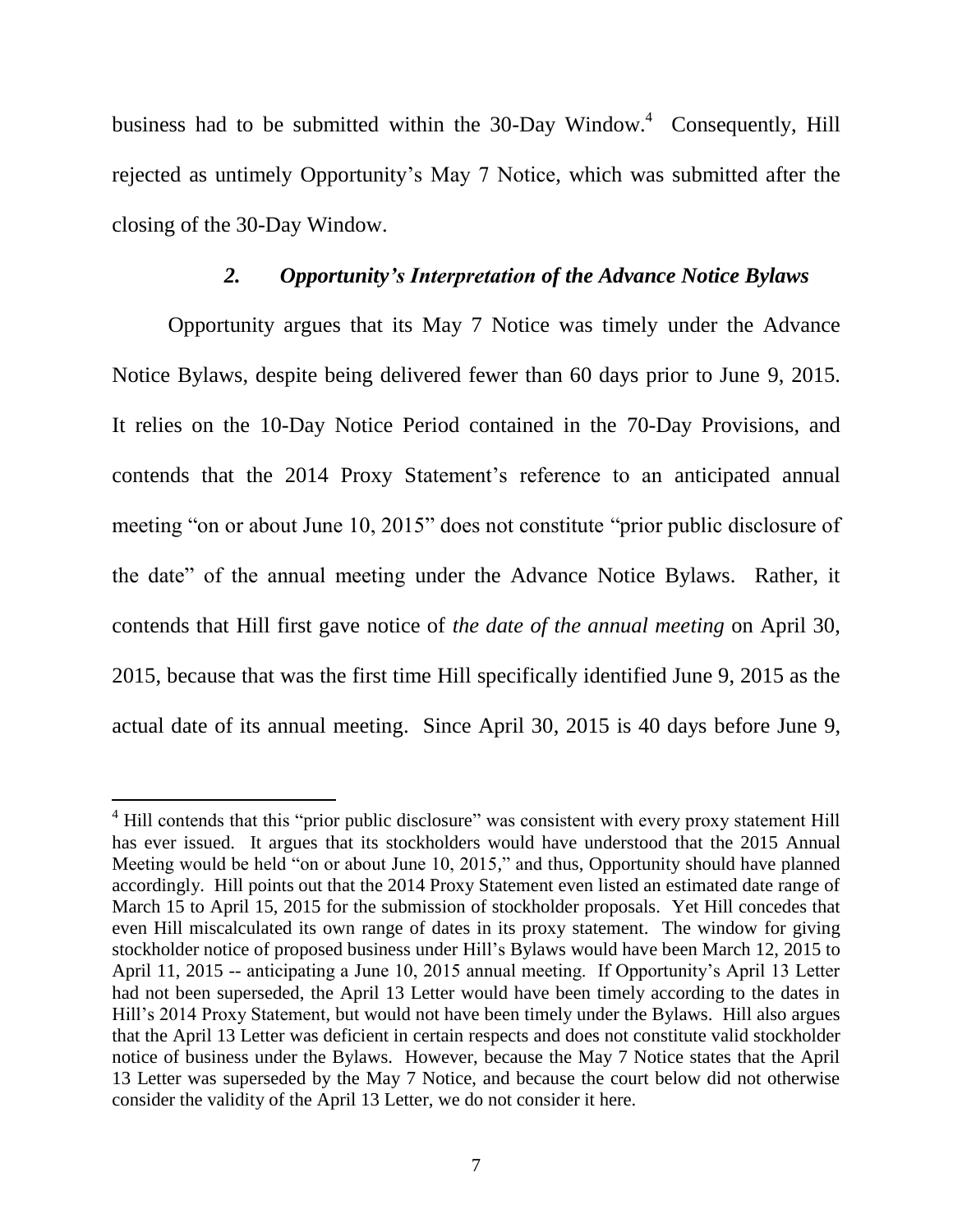business had to be submitted within the 30-Day Window.<sup>4</sup> Consequently, Hill rejected as untimely Opportunity's May 7 Notice, which was submitted after the closing of the 30-Day Window.

### *2. Opportunity's Interpretation of the Advance Notice Bylaws*

Opportunity argues that its May 7 Notice was timely under the Advance Notice Bylaws, despite being delivered fewer than 60 days prior to June 9, 2015. It relies on the 10-Day Notice Period contained in the 70-Day Provisions, and contends that the 2014 Proxy Statement's reference to an anticipated annual meeting "on or about June 10, 2015" does not constitute "prior public disclosure of the date" of the annual meeting under the Advance Notice Bylaws. Rather, it contends that Hill first gave notice of *the date of the annual meeting* on April 30, 2015, because that was the first time Hill specifically identified June 9, 2015 as the actual date of its annual meeting. Since April 30, 2015 is 40 days before June 9,

<sup>&</sup>lt;sup>4</sup> Hill contends that this "prior public disclosure" was consistent with every proxy statement Hill has ever issued. It argues that its stockholders would have understood that the 2015 Annual Meeting would be held "on or about June 10, 2015," and thus, Opportunity should have planned accordingly. Hill points out that the 2014 Proxy Statement even listed an estimated date range of March 15 to April 15, 2015 for the submission of stockholder proposals. Yet Hill concedes that even Hill miscalculated its own range of dates in its proxy statement. The window for giving stockholder notice of proposed business under Hill's Bylaws would have been March 12, 2015 to April 11, 2015 -- anticipating a June 10, 2015 annual meeting. If Opportunity's April 13 Letter had not been superseded, the April 13 Letter would have been timely according to the dates in Hill's 2014 Proxy Statement, but would not have been timely under the Bylaws. Hill also argues that the April 13 Letter was deficient in certain respects and does not constitute valid stockholder notice of business under the Bylaws. However, because the May 7 Notice states that the April 13 Letter was superseded by the May 7 Notice, and because the court below did not otherwise consider the validity of the April 13 Letter, we do not consider it here.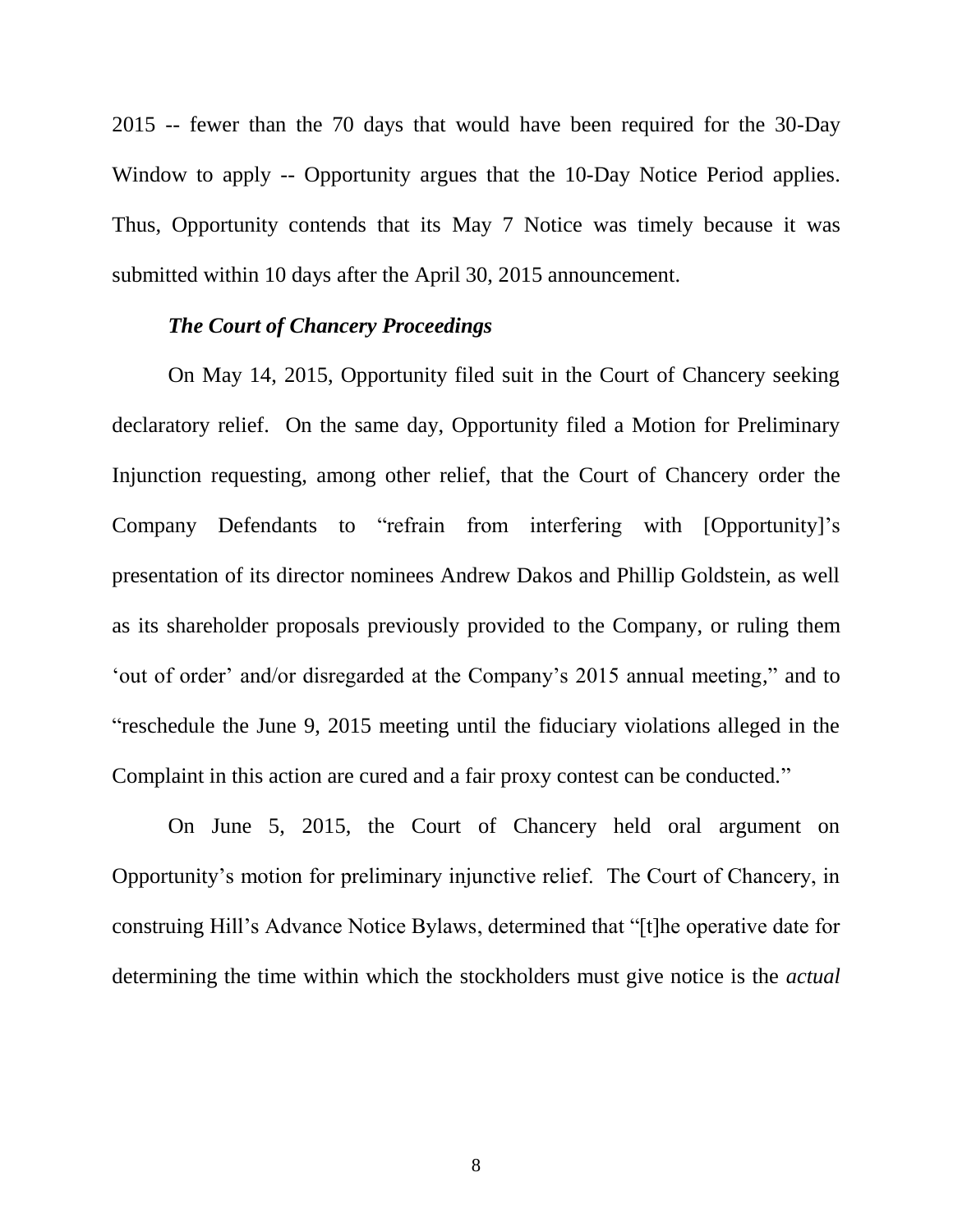2015 -- fewer than the 70 days that would have been required for the 30-Day Window to apply -- Opportunity argues that the 10-Day Notice Period applies. Thus, Opportunity contends that its May 7 Notice was timely because it was submitted within 10 days after the April 30, 2015 announcement.

### *The Court of Chancery Proceedings*

On May 14, 2015, Opportunity filed suit in the Court of Chancery seeking declaratory relief. On the same day, Opportunity filed a Motion for Preliminary Injunction requesting, among other relief, that the Court of Chancery order the Company Defendants to "refrain from interfering with [Opportunity]'s presentation of its director nominees Andrew Dakos and Phillip Goldstein, as well as its shareholder proposals previously provided to the Company, or ruling them 'out of order' and/or disregarded at the Company's 2015 annual meeting," and to "reschedule the June 9, 2015 meeting until the fiduciary violations alleged in the Complaint in this action are cured and a fair proxy contest can be conducted."

On June 5, 2015, the Court of Chancery held oral argument on Opportunity's motion for preliminary injunctive relief. The Court of Chancery, in construing Hill's Advance Notice Bylaws, determined that "[t]he operative date for determining the time within which the stockholders must give notice is the *actual*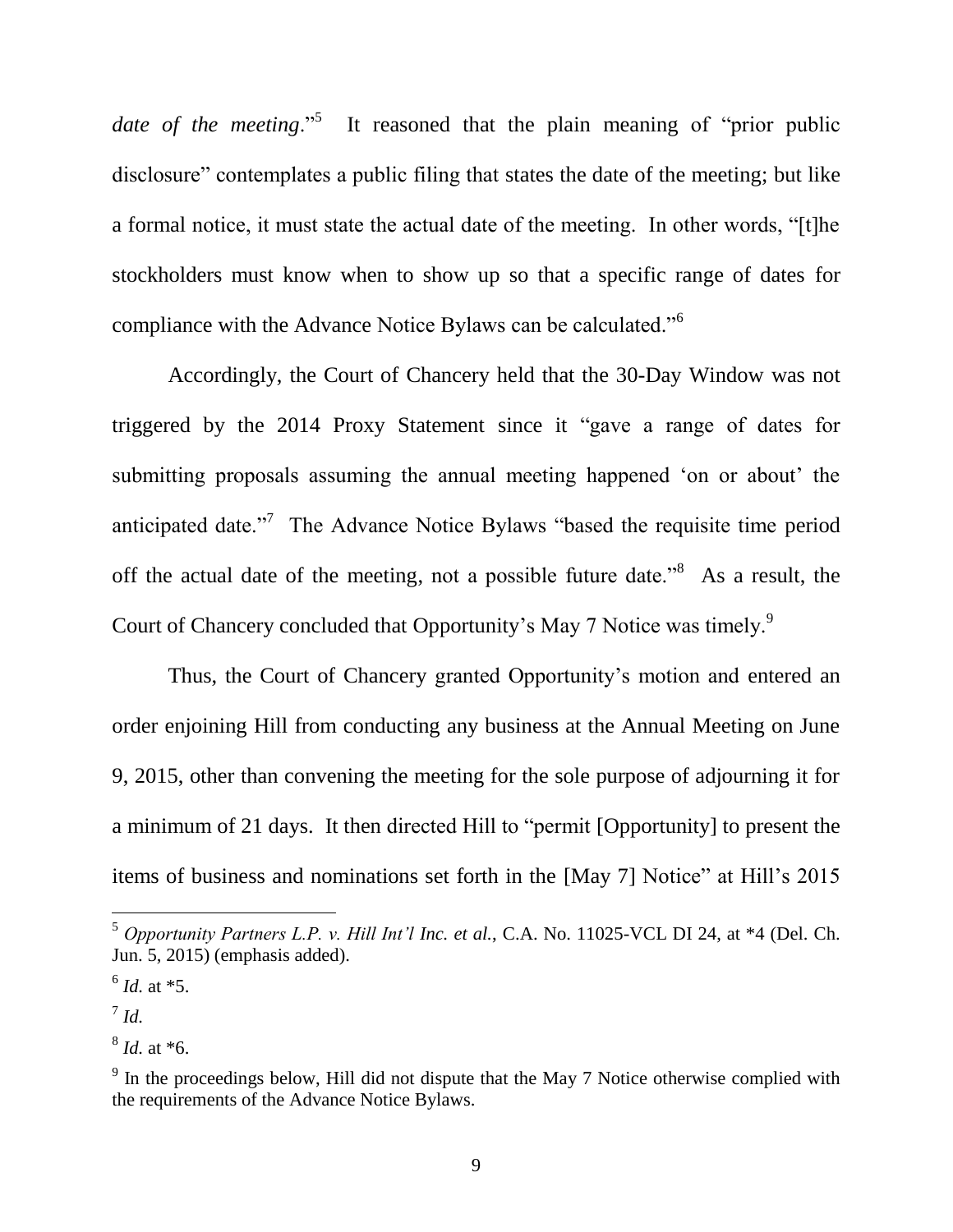date of the meeting.<sup>5</sup> It reasoned that the plain meaning of "prior public disclosure" contemplates a public filing that states the date of the meeting; but like a formal notice, it must state the actual date of the meeting. In other words, "[t]he stockholders must know when to show up so that a specific range of dates for compliance with the Advance Notice Bylaws can be calculated."<sup>6</sup>

Accordingly, the Court of Chancery held that the 30-Day Window was not triggered by the 2014 Proxy Statement since it "gave a range of dates for submitting proposals assuming the annual meeting happened 'on or about' the anticipated date."<sup>7</sup> The Advance Notice Bylaws "based the requisite time period off the actual date of the meeting, not a possible future date.<sup>38</sup> As a result, the Court of Chancery concluded that Opportunity's May 7 Notice was timely.<sup>9</sup>

Thus, the Court of Chancery granted Opportunity's motion and entered an order enjoining Hill from conducting any business at the Annual Meeting on June 9, 2015, other than convening the meeting for the sole purpose of adjourning it for a minimum of 21 days. It then directed Hill to "permit [Opportunity] to present the items of business and nominations set forth in the [May 7] Notice" at Hill's 2015

<sup>5</sup> *Opportunity Partners L.P. v. Hill Int'l Inc. et al.*, C.A. No. 11025-VCL DI 24, at \*4 (Del. Ch. Jun. 5, 2015) (emphasis added).

<sup>6</sup> *Id.* at \*5.

<sup>7</sup> *Id.*

<sup>8</sup> *Id.* at \*6.

 $9<sup>9</sup>$  In the proceedings below, Hill did not dispute that the May 7 Notice otherwise complied with the requirements of the Advance Notice Bylaws.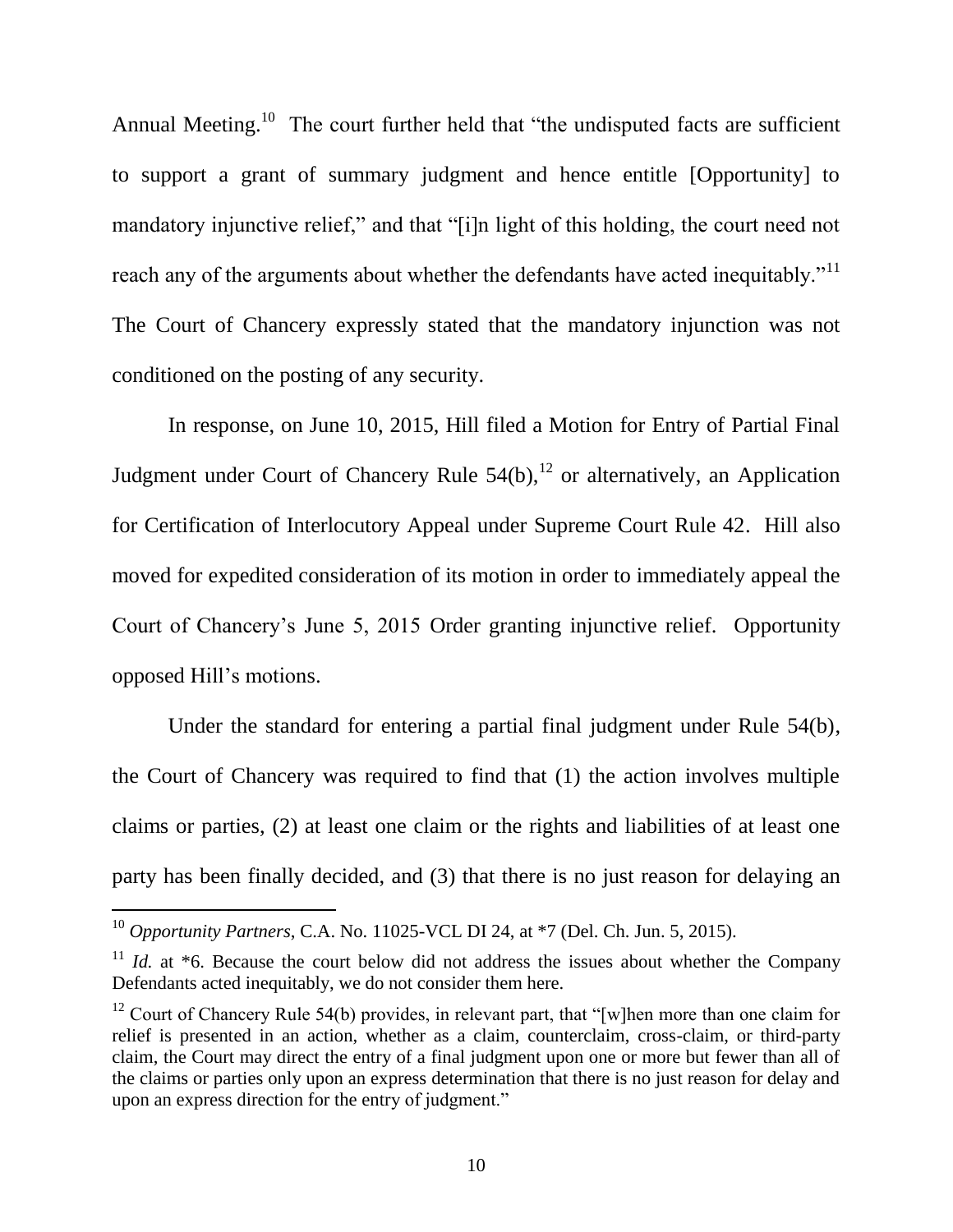Annual Meeting.<sup>10</sup> The court further held that "the undisputed facts are sufficient to support a grant of summary judgment and hence entitle [Opportunity] to mandatory injunctive relief," and that "[i]n light of this holding, the court need not reach any of the arguments about whether the defendants have acted inequitably."<sup>11</sup> The Court of Chancery expressly stated that the mandatory injunction was not conditioned on the posting of any security.

In response, on June 10, 2015, Hill filed a Motion for Entry of Partial Final Judgment under Court of Chancery Rule  $54(b)$ ,<sup>12</sup> or alternatively, an Application for Certification of Interlocutory Appeal under Supreme Court Rule 42. Hill also moved for expedited consideration of its motion in order to immediately appeal the Court of Chancery's June 5, 2015 Order granting injunctive relief. Opportunity opposed Hill's motions.

Under the standard for entering a partial final judgment under Rule 54(b), the Court of Chancery was required to find that (1) the action involves multiple claims or parties, (2) at least one claim or the rights and liabilities of at least one party has been finally decided, and (3) that there is no just reason for delaying an

<sup>10</sup> *Opportunity Partners*, C.A. No. 11025-VCL DI 24, at \*7 (Del. Ch. Jun. 5, 2015).

<sup>&</sup>lt;sup>11</sup> *Id.* at  $*6$ . Because the court below did not address the issues about whether the Company Defendants acted inequitably, we do not consider them here.

<sup>&</sup>lt;sup>12</sup> Court of Chancery Rule 54(b) provides, in relevant part, that "[w]hen more than one claim for relief is presented in an action, whether as a claim, counterclaim, cross-claim, or third-party claim, the Court may direct the entry of a final judgment upon one or more but fewer than all of the claims or parties only upon an express determination that there is no just reason for delay and upon an express direction for the entry of judgment."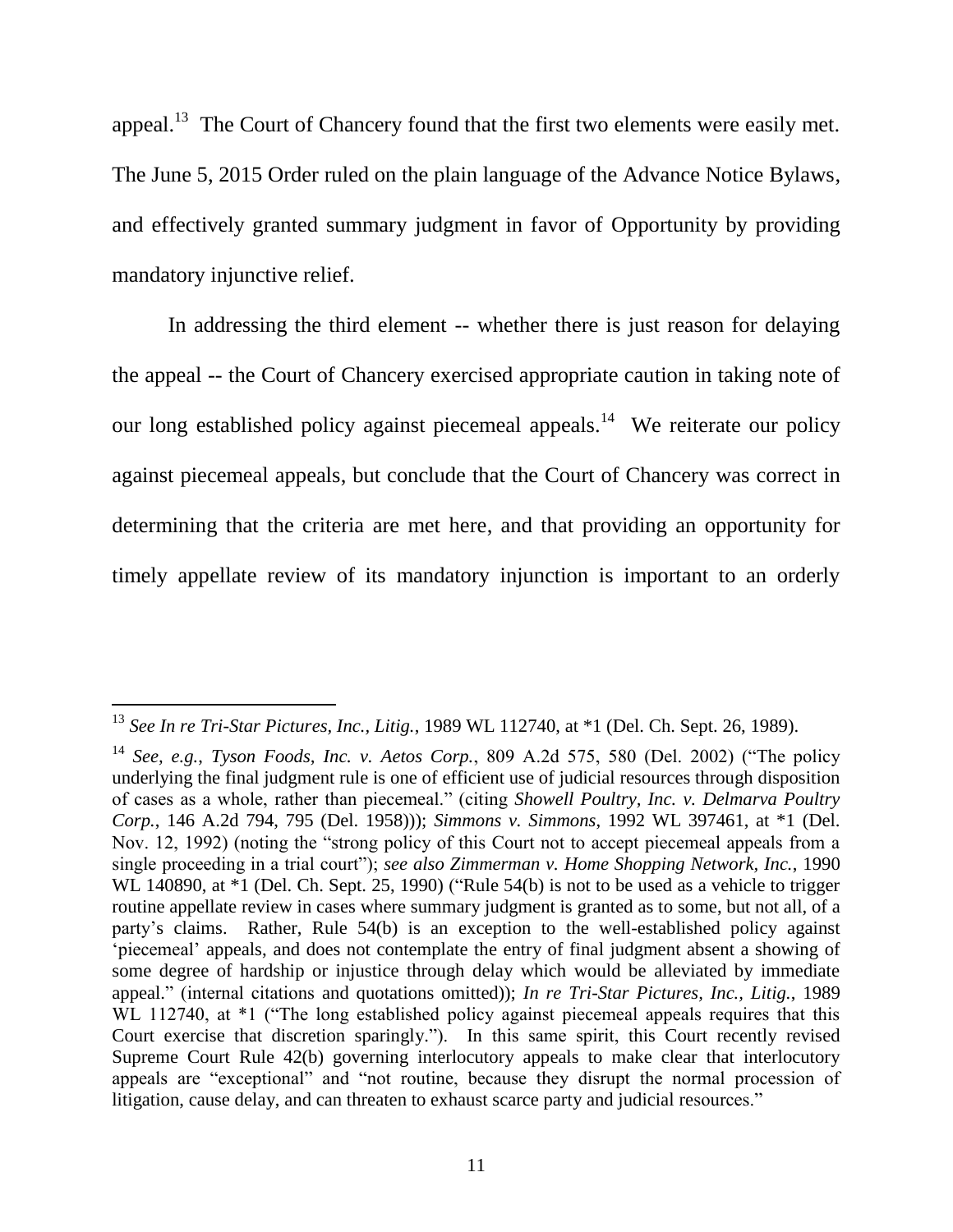appeal.<sup>13</sup> The Court of Chancery found that the first two elements were easily met. The June 5, 2015 Order ruled on the plain language of the Advance Notice Bylaws, and effectively granted summary judgment in favor of Opportunity by providing mandatory injunctive relief.

In addressing the third element -- whether there is just reason for delaying the appeal -- the Court of Chancery exercised appropriate caution in taking note of our long established policy against piecemeal appeals.<sup>14</sup> We reiterate our policy against piecemeal appeals, but conclude that the Court of Chancery was correct in determining that the criteria are met here, and that providing an opportunity for timely appellate review of its mandatory injunction is important to an orderly

<sup>13</sup> *See In re Tri-Star Pictures, Inc., Litig.*, 1989 WL 112740, at \*1 (Del. Ch. Sept. 26, 1989).

<sup>14</sup> *See, e.g.*, *Tyson Foods, Inc. v. Aetos Corp.*, 809 A.2d 575, 580 (Del. 2002) ("The policy underlying the final judgment rule is one of efficient use of judicial resources through disposition of cases as a whole, rather than piecemeal." (citing *Showell Poultry, Inc. v. Delmarva Poultry Corp.*, 146 A.2d 794, 795 (Del. 1958))); *Simmons v. Simmons*, 1992 WL 397461, at \*1 (Del. Nov. 12, 1992) (noting the "strong policy of this Court not to accept piecemeal appeals from a single proceeding in a trial court"); *see also Zimmerman v. Home Shopping Network, Inc.*, 1990 WL 140890, at  $*1$  (Del. Ch. Sept. 25, 1990) ("Rule 54(b) is not to be used as a vehicle to trigger routine appellate review in cases where summary judgment is granted as to some, but not all, of a party's claims. Rather, Rule 54(b) is an exception to the well-established policy against 'piecemeal' appeals, and does not contemplate the entry of final judgment absent a showing of some degree of hardship or injustice through delay which would be alleviated by immediate appeal." (internal citations and quotations omitted)); *In re Tri-Star Pictures, Inc., Litig.*, 1989 WL 112740, at  $*1$  ("The long established policy against piecemeal appeals requires that this Court exercise that discretion sparingly."). In this same spirit, this Court recently revised Supreme Court Rule 42(b) governing interlocutory appeals to make clear that interlocutory appeals are "exceptional" and "not routine, because they disrupt the normal procession of litigation, cause delay, and can threaten to exhaust scarce party and judicial resources."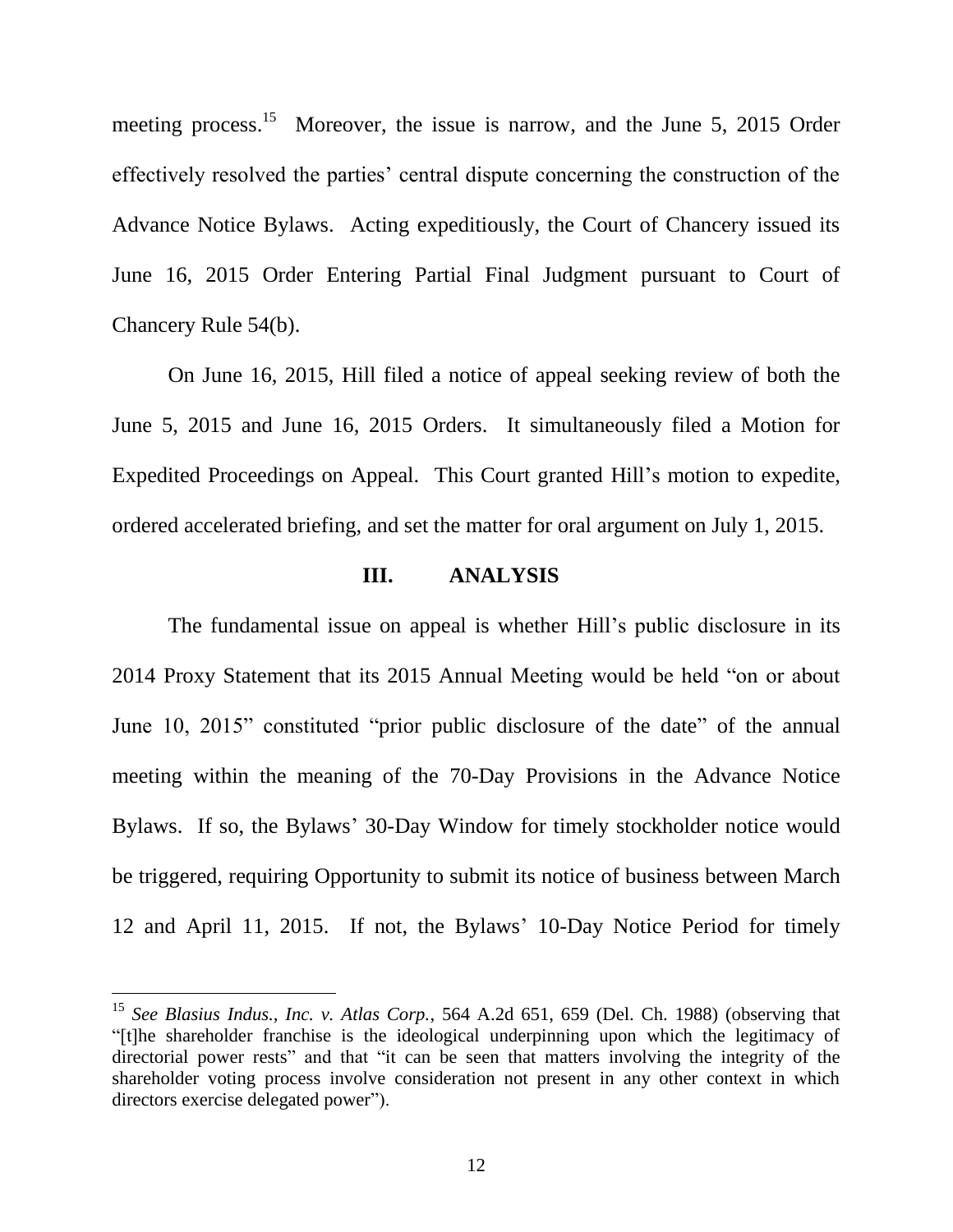meeting process.<sup>15</sup> Moreover, the issue is narrow, and the June 5, 2015 Order effectively resolved the parties' central dispute concerning the construction of the Advance Notice Bylaws. Acting expeditiously, the Court of Chancery issued its June 16, 2015 Order Entering Partial Final Judgment pursuant to Court of Chancery Rule 54(b).

On June 16, 2015, Hill filed a notice of appeal seeking review of both the June 5, 2015 and June 16, 2015 Orders. It simultaneously filed a Motion for Expedited Proceedings on Appeal. This Court granted Hill's motion to expedite, ordered accelerated briefing, and set the matter for oral argument on July 1, 2015.

#### **III. ANALYSIS**

The fundamental issue on appeal is whether Hill's public disclosure in its 2014 Proxy Statement that its 2015 Annual Meeting would be held "on or about June 10, 2015" constituted "prior public disclosure of the date" of the annual meeting within the meaning of the 70-Day Provisions in the Advance Notice Bylaws. If so, the Bylaws' 30-Day Window for timely stockholder notice would be triggered, requiring Opportunity to submit its notice of business between March 12 and April 11, 2015. If not, the Bylaws' 10-Day Notice Period for timely

<sup>15</sup> *See Blasius Indus., Inc. v. Atlas Corp.*, 564 A.2d 651, 659 (Del. Ch. 1988) (observing that "[t]he shareholder franchise is the ideological underpinning upon which the legitimacy of directorial power rests" and that "it can be seen that matters involving the integrity of the shareholder voting process involve consideration not present in any other context in which directors exercise delegated power").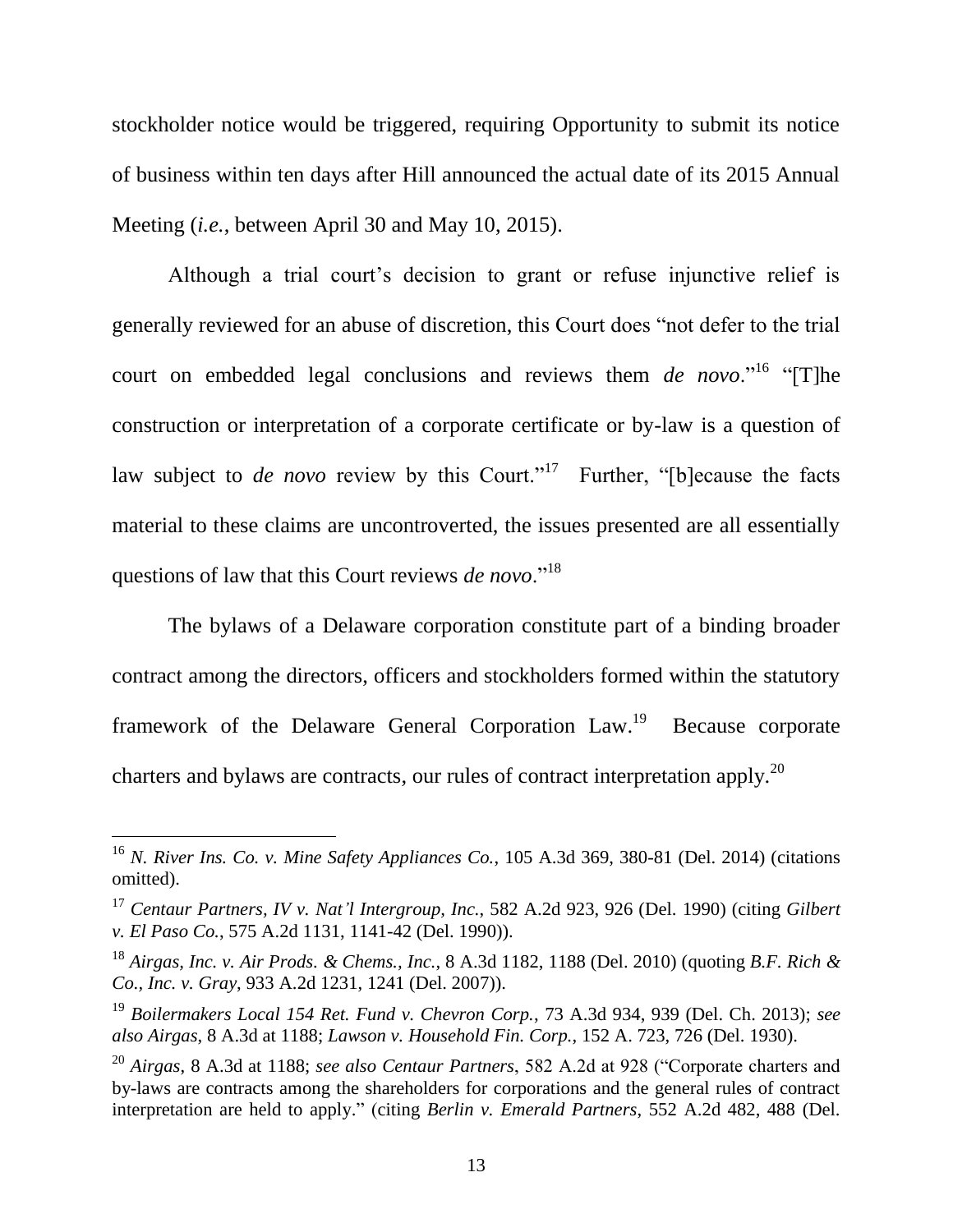stockholder notice would be triggered, requiring Opportunity to submit its notice of business within ten days after Hill announced the actual date of its 2015 Annual Meeting (*i.e.*, between April 30 and May 10, 2015).

Although a trial court's decision to grant or refuse injunctive relief is generally reviewed for an abuse of discretion, this Court does "not defer to the trial court on embedded legal conclusions and reviews them *de novo*."<sup>16</sup> "[T]he construction or interpretation of a corporate certificate or by-law is a question of law subject to *de novo* review by this Court."<sup>17</sup> Further, "[b]ecause the facts material to these claims are uncontroverted, the issues presented are all essentially questions of law that this Court reviews *de novo*."<sup>18</sup>

The bylaws of a Delaware corporation constitute part of a binding broader contract among the directors, officers and stockholders formed within the statutory framework of the Delaware General Corporation Law.<sup>19</sup> Because corporate charters and bylaws are contracts, our rules of contract interpretation apply.<sup>20</sup>

<sup>16</sup> *N. River Ins. Co. v. Mine Safety Appliances Co.*, 105 A.3d 369, 380-81 (Del. 2014) (citations omitted).

<sup>17</sup> *Centaur Partners, IV v. Nat'l Intergroup, Inc.*, 582 A.2d 923, 926 (Del. 1990) (citing *Gilbert v. El Paso Co.*, 575 A.2d 1131, 1141-42 (Del. 1990)).

<sup>18</sup> *Airgas, Inc. v. Air Prods. & Chems., Inc.*, 8 A.3d 1182, 1188 (Del. 2010) (quoting *B.F. Rich & Co., Inc. v. Gray*, 933 A.2d 1231, 1241 (Del. 2007)).

<sup>19</sup> *Boilermakers Local 154 Ret. Fund v. Chevron Corp.*, 73 A.3d 934, 939 (Del. Ch. 2013); *see also Airgas*, 8 A.3d at 1188; *Lawson v. Household Fin. Corp.*, 152 A. 723, 726 (Del. 1930).

<sup>20</sup> *Airgas*, 8 A.3d at 1188; *see also Centaur Partners*, 582 A.2d at 928 ("Corporate charters and by-laws are contracts among the shareholders for corporations and the general rules of contract interpretation are held to apply." (citing *Berlin v. Emerald Partners*, 552 A.2d 482, 488 (Del.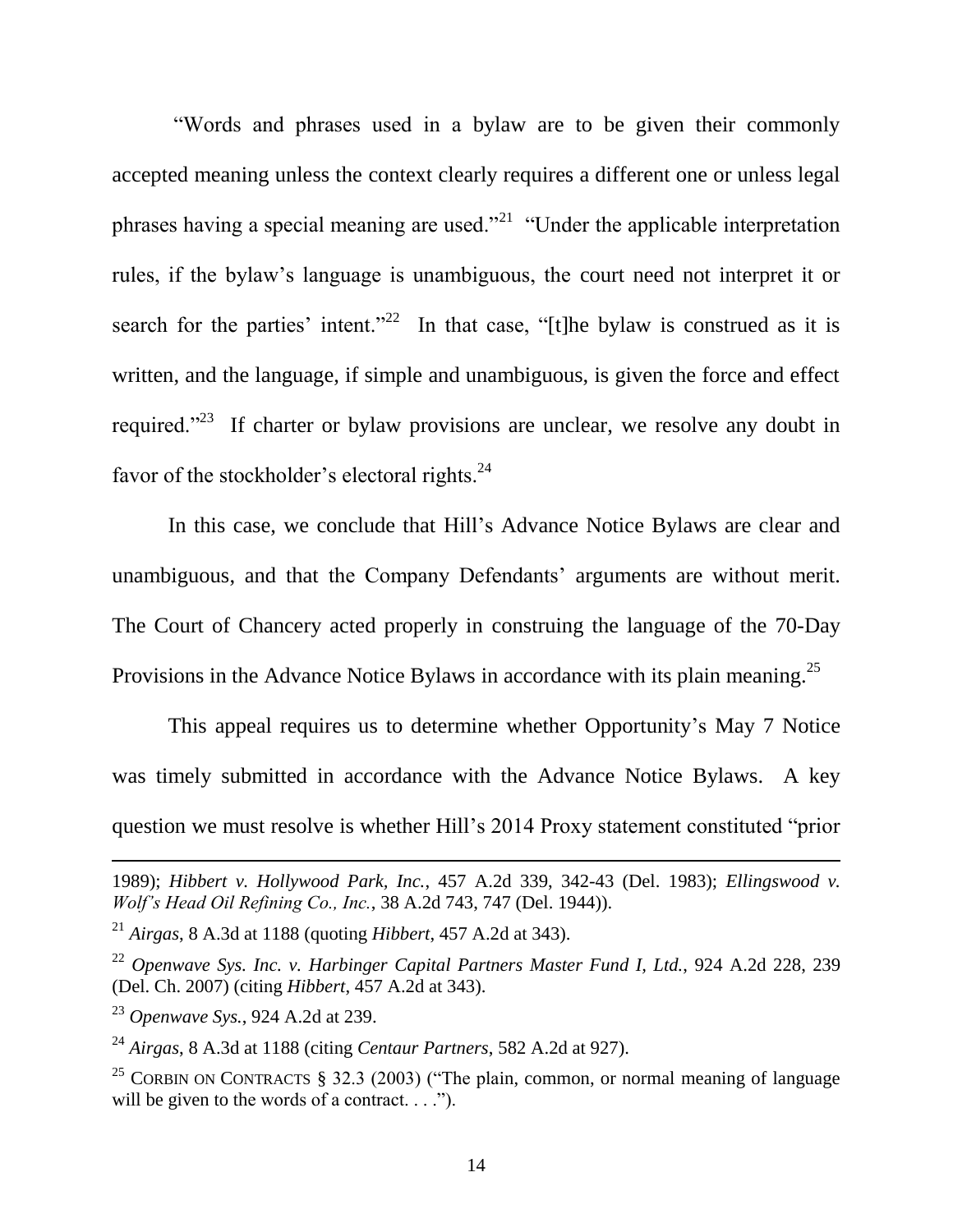"Words and phrases used in a bylaw are to be given their commonly accepted meaning unless the context clearly requires a different one or unless legal phrases having a special meaning are used."<sup>21</sup> "Under the applicable interpretation rules, if the bylaw's language is unambiguous, the court need not interpret it or search for the parties' intent."<sup>22</sup> In that case, "[t]he bylaw is construed as it is written, and the language, if simple and unambiguous, is given the force and effect required."<sup>23</sup> If charter or bylaw provisions are unclear, we resolve any doubt in favor of the stockholder's electoral rights.<sup>24</sup>

In this case, we conclude that Hill's Advance Notice Bylaws are clear and unambiguous, and that the Company Defendants' arguments are without merit. The Court of Chancery acted properly in construing the language of the 70-Day Provisions in the Advance Notice Bylaws in accordance with its plain meaning.<sup>25</sup>

This appeal requires us to determine whether Opportunity's May 7 Notice was timely submitted in accordance with the Advance Notice Bylaws. A key question we must resolve is whether Hill's 2014 Proxy statement constituted "prior

<sup>1989);</sup> *Hibbert v. Hollywood Park, Inc.*, 457 A.2d 339, 342-43 (Del. 1983); *Ellingswood v. Wolf's Head Oil Refining Co., Inc.*, 38 A.2d 743, 747 (Del. 1944)).

<sup>21</sup> *Airgas*, 8 A.3d at 1188 (quoting *Hibbert*, 457 A.2d at 343).

<sup>22</sup> *Openwave Sys. Inc. v. Harbinger Capital Partners Master Fund I, Ltd.*, 924 A.2d 228, 239 (Del. Ch. 2007) (citing *Hibbert*, 457 A.2d at 343).

<sup>23</sup> *Openwave Sys.*, 924 A.2d at 239.

<sup>24</sup> *Airgas*, 8 A.3d at 1188 (citing *Centaur Partners*, 582 A.2d at 927).

<sup>&</sup>lt;sup>25</sup> CORBIN ON CONTRACTS § 32.3 (2003) ("The plain, common, or normal meaning of language will be given to the words of a contract.  $\dots$ .").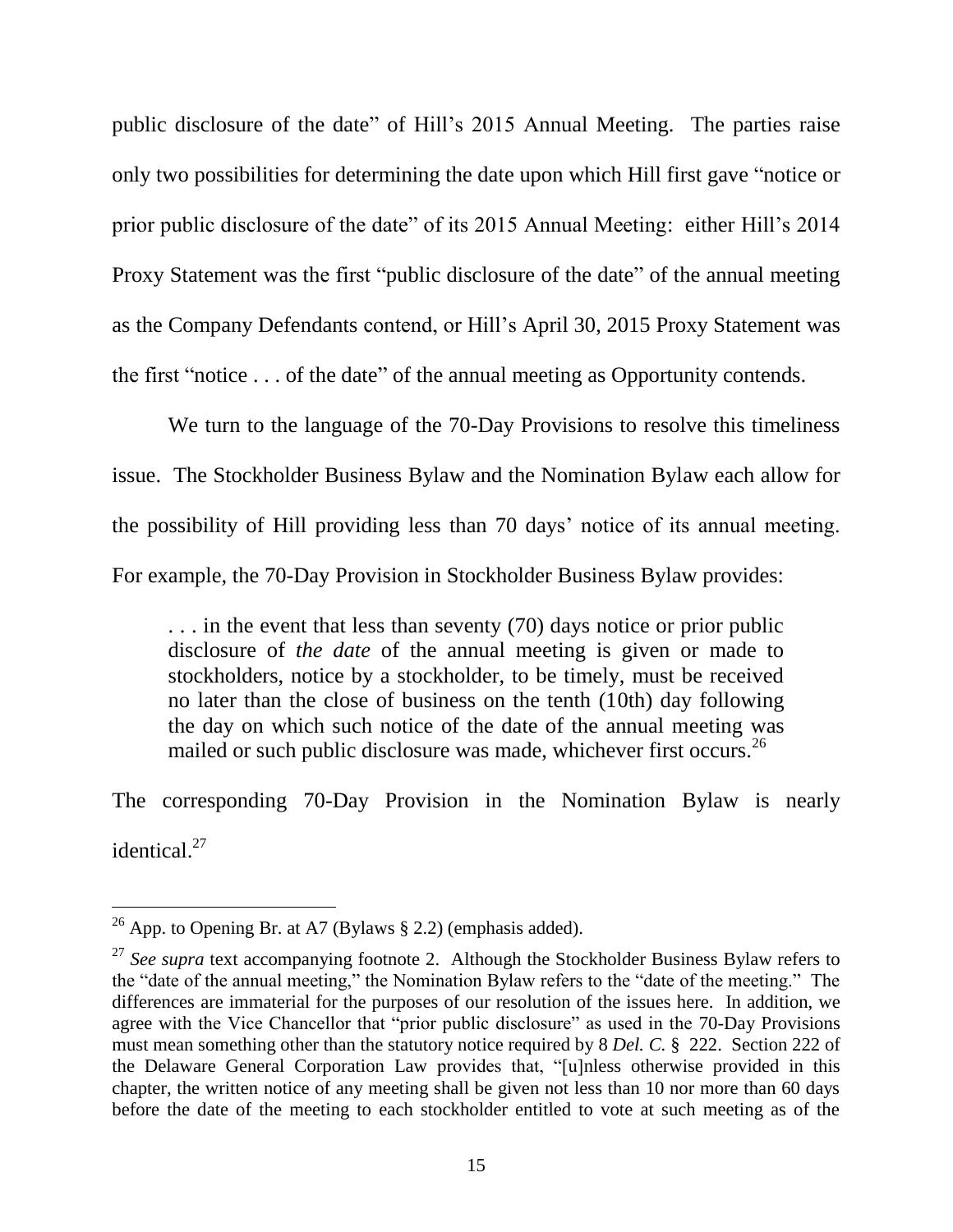public disclosure of the date" of Hill's 2015 Annual Meeting. The parties raise only two possibilities for determining the date upon which Hill first gave "notice or prior public disclosure of the date" of its 2015 Annual Meeting: either Hill's 2014 Proxy Statement was the first "public disclosure of the date" of the annual meeting as the Company Defendants contend, or Hill's April 30, 2015 Proxy Statement was the first "notice . . . of the date" of the annual meeting as Opportunity contends.

We turn to the language of the 70-Day Provisions to resolve this timeliness issue. The Stockholder Business Bylaw and the Nomination Bylaw each allow for the possibility of Hill providing less than 70 days' notice of its annual meeting. For example, the 70-Day Provision in Stockholder Business Bylaw provides:

. . . in the event that less than seventy (70) days notice or prior public disclosure of *the date* of the annual meeting is given or made to stockholders, notice by a stockholder, to be timely, must be received no later than the close of business on the tenth (10th) day following the day on which such notice of the date of the annual meeting was mailed or such public disclosure was made, whichever first occurs.<sup>26</sup>

The corresponding 70-Day Provision in the Nomination Bylaw is nearly identical. 27

<sup>&</sup>lt;sup>26</sup> App. to Opening Br. at A7 (Bylaws  $\S$  2.2) (emphasis added).

<sup>&</sup>lt;sup>27</sup> See supra text accompanying footnote 2. Although the Stockholder Business Bylaw refers to the "date of the annual meeting," the Nomination Bylaw refers to the "date of the meeting." The differences are immaterial for the purposes of our resolution of the issues here. In addition, we agree with the Vice Chancellor that "prior public disclosure" as used in the 70-Day Provisions must mean something other than the statutory notice required by 8 *Del. C.* § 222. Section 222 of the Delaware General Corporation Law provides that, "[u]nless otherwise provided in this chapter, the written notice of any meeting shall be given not less than 10 nor more than 60 days before the date of the meeting to each stockholder entitled to vote at such meeting as of the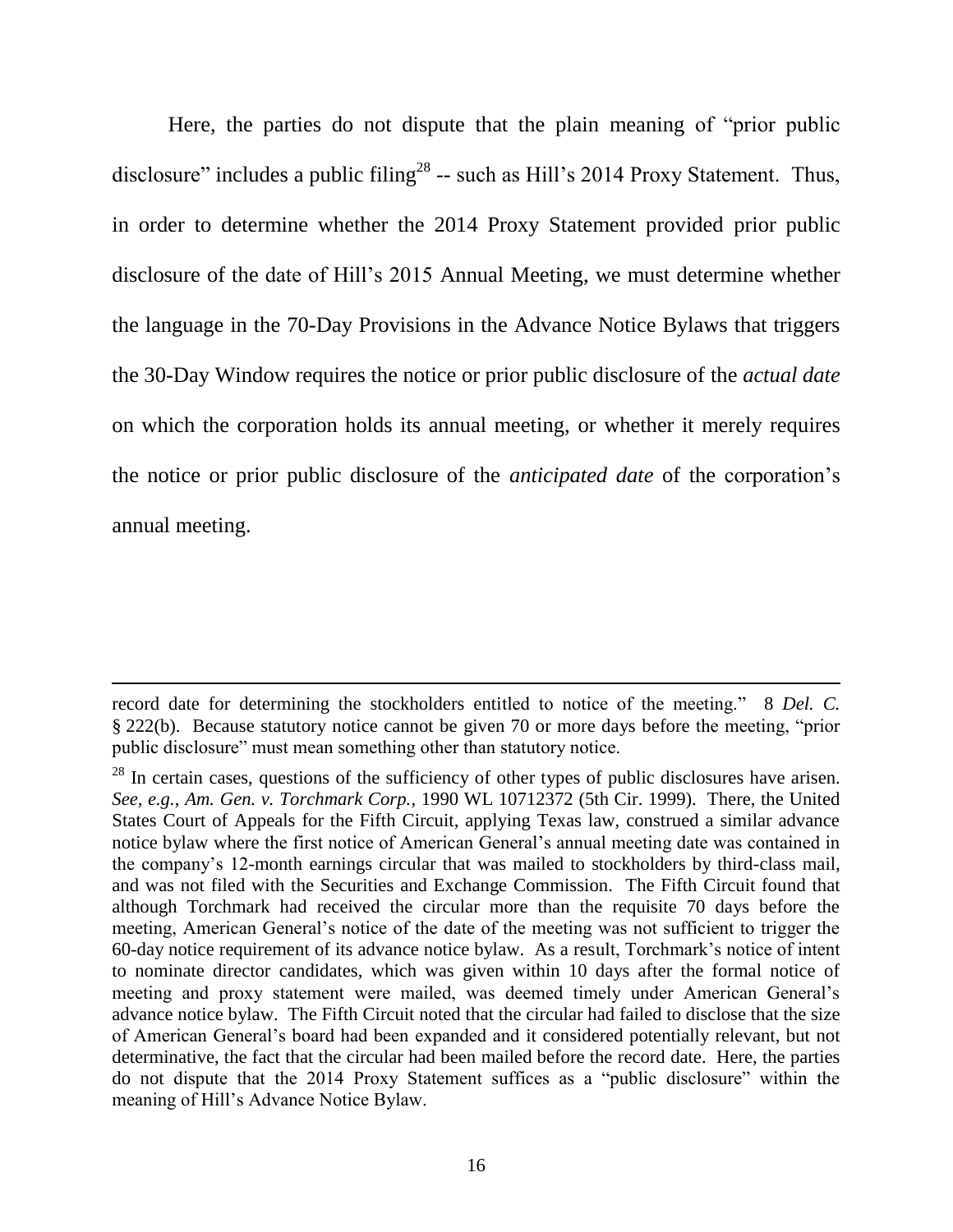Here, the parties do not dispute that the plain meaning of "prior public disclosure" includes a public filing<sup>28</sup> -- such as Hill's 2014 Proxy Statement. Thus, in order to determine whether the 2014 Proxy Statement provided prior public disclosure of the date of Hill's 2015 Annual Meeting, we must determine whether the language in the 70-Day Provisions in the Advance Notice Bylaws that triggers the 30-Day Window requires the notice or prior public disclosure of the *actual date* on which the corporation holds its annual meeting, or whether it merely requires the notice or prior public disclosure of the *anticipated date* of the corporation's annual meeting.

record date for determining the stockholders entitled to notice of the meeting." 8 *Del. C.* § 222(b). Because statutory notice cannot be given 70 or more days before the meeting, "prior public disclosure" must mean something other than statutory notice.

 $^{28}$  In certain cases, questions of the sufficiency of other types of public disclosures have arisen. *See, e.g.*, *Am. Gen. v. Torchmark Corp.*, 1990 WL 10712372 (5th Cir. 1999). There, the United States Court of Appeals for the Fifth Circuit, applying Texas law, construed a similar advance notice bylaw where the first notice of American General's annual meeting date was contained in the company's 12-month earnings circular that was mailed to stockholders by third-class mail, and was not filed with the Securities and Exchange Commission. The Fifth Circuit found that although Torchmark had received the circular more than the requisite 70 days before the meeting, American General's notice of the date of the meeting was not sufficient to trigger the 60-day notice requirement of its advance notice bylaw. As a result, Torchmark's notice of intent to nominate director candidates, which was given within 10 days after the formal notice of meeting and proxy statement were mailed, was deemed timely under American General's advance notice bylaw. The Fifth Circuit noted that the circular had failed to disclose that the size of American General's board had been expanded and it considered potentially relevant, but not determinative, the fact that the circular had been mailed before the record date. Here, the parties do not dispute that the 2014 Proxy Statement suffices as a "public disclosure" within the meaning of Hill's Advance Notice Bylaw.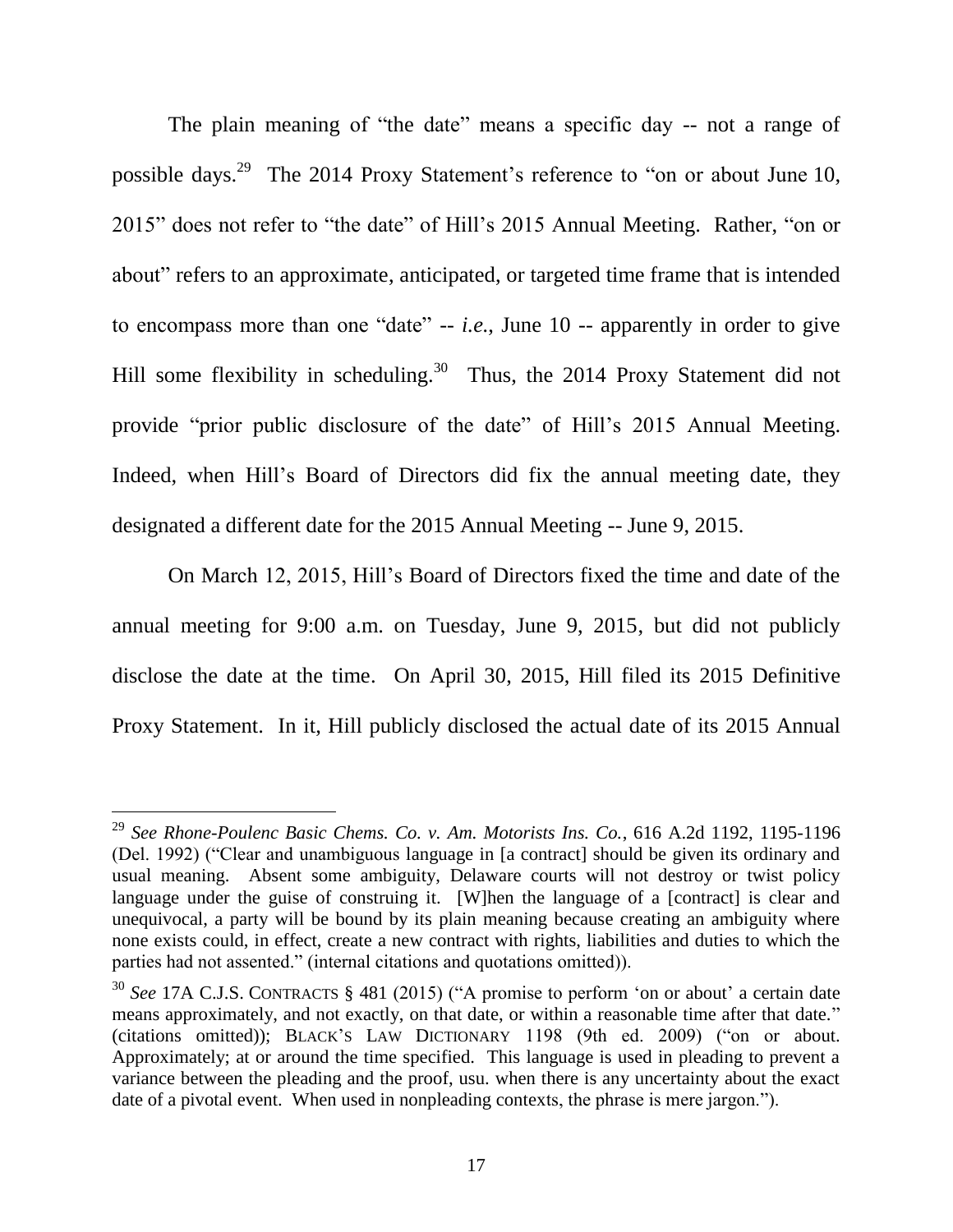The plain meaning of "the date" means a specific day -- not a range of possible days.<sup>29</sup> The 2014 Proxy Statement's reference to "on or about June 10, 2015" does not refer to "the date" of Hill's 2015 Annual Meeting. Rather, "on or about" refers to an approximate, anticipated, or targeted time frame that is intended to encompass more than one "date" -- *i.e.*, June 10 -- apparently in order to give Hill some flexibility in scheduling.<sup>30</sup> Thus, the 2014 Proxy Statement did not provide "prior public disclosure of the date" of Hill's 2015 Annual Meeting. Indeed, when Hill's Board of Directors did fix the annual meeting date, they designated a different date for the 2015 Annual Meeting -- June 9, 2015.

On March 12, 2015, Hill's Board of Directors fixed the time and date of the annual meeting for 9:00 a.m. on Tuesday, June 9, 2015, but did not publicly disclose the date at the time. On April 30, 2015, Hill filed its 2015 Definitive Proxy Statement. In it, Hill publicly disclosed the actual date of its 2015 Annual

<sup>29</sup> *See Rhone-Poulenc Basic Chems. Co. v. Am. Motorists Ins. Co.*, 616 A.2d 1192, 1195-1196 (Del. 1992) ("Clear and unambiguous language in [a contract] should be given its ordinary and usual meaning. Absent some ambiguity, Delaware courts will not destroy or twist policy language under the guise of construing it. [W]hen the language of a [contract] is clear and unequivocal, a party will be bound by its plain meaning because creating an ambiguity where none exists could, in effect, create a new contract with rights, liabilities and duties to which the parties had not assented." (internal citations and quotations omitted)).

<sup>&</sup>lt;sup>30</sup> See 17A C.J.S. CONTRACTS § 481 (2015) ("A promise to perform 'on or about' a certain date means approximately, and not exactly, on that date, or within a reasonable time after that date." (citations omitted)); BLACK'S LAW DICTIONARY 1198 (9th ed. 2009) ("on or about. Approximately; at or around the time specified. This language is used in pleading to prevent a variance between the pleading and the proof, usu. when there is any uncertainty about the exact date of a pivotal event. When used in nonpleading contexts, the phrase is mere jargon.").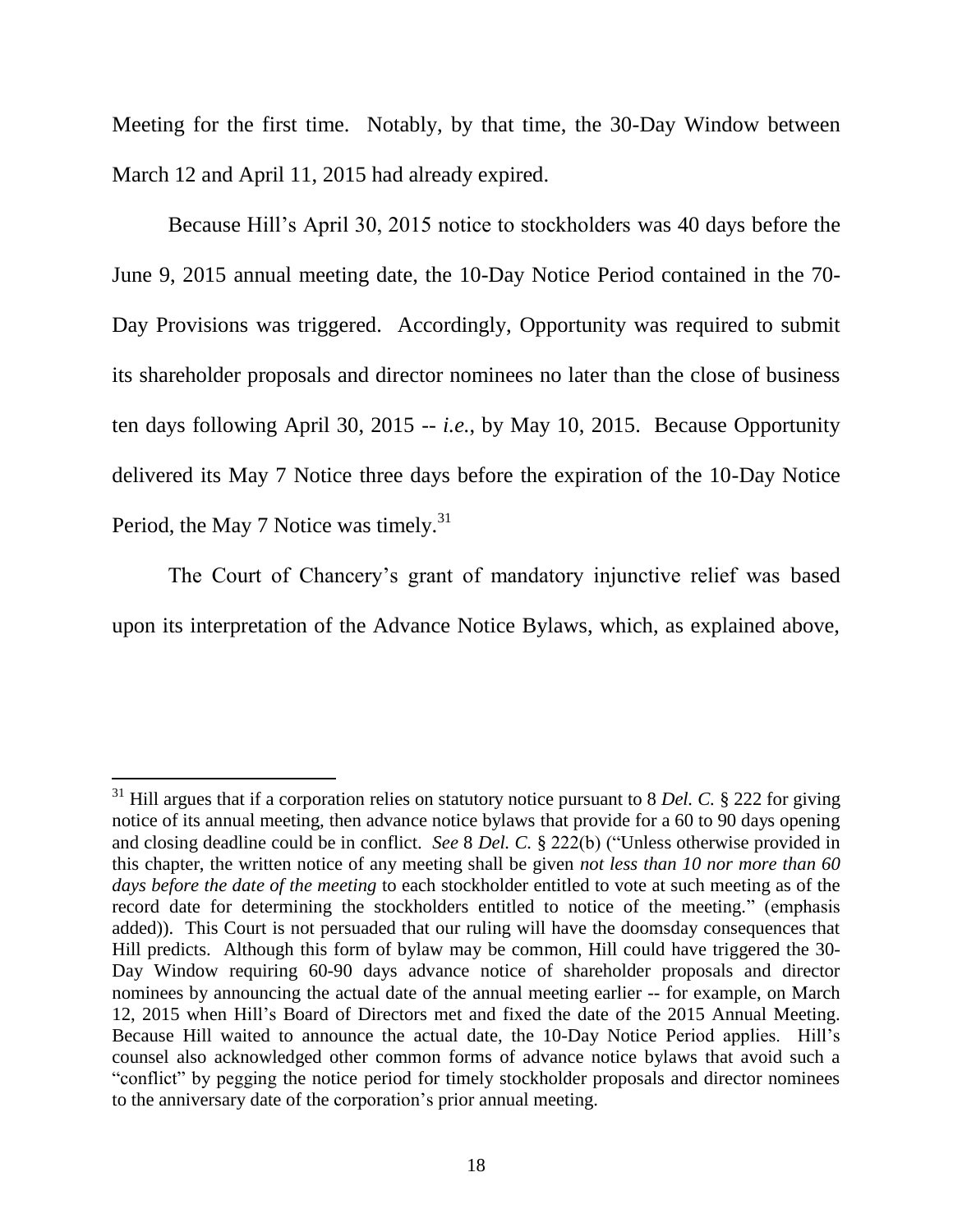Meeting for the first time. Notably, by that time, the 30-Day Window between March 12 and April 11, 2015 had already expired.

Because Hill's April 30, 2015 notice to stockholders was 40 days before the June 9, 2015 annual meeting date, the 10-Day Notice Period contained in the 70- Day Provisions was triggered. Accordingly, Opportunity was required to submit its shareholder proposals and director nominees no later than the close of business ten days following April 30, 2015 -- *i.e.*, by May 10, 2015. Because Opportunity delivered its May 7 Notice three days before the expiration of the 10-Day Notice Period, the May 7 Notice was timely.<sup>31</sup>

The Court of Chancery's grant of mandatory injunctive relief was based upon its interpretation of the Advance Notice Bylaws, which, as explained above,

<sup>&</sup>lt;sup>31</sup> Hill argues that if a corporation relies on statutory notice pursuant to 8 *Del. C*. § 222 for giving notice of its annual meeting, then advance notice bylaws that provide for a 60 to 90 days opening and closing deadline could be in conflict. *See* 8 *Del. C.* § 222(b) ("Unless otherwise provided in this chapter, the written notice of any meeting shall be given *not less than 10 nor more than 60 days before the date of the meeting* to each stockholder entitled to vote at such meeting as of the record date for determining the stockholders entitled to notice of the meeting." (emphasis added)). This Court is not persuaded that our ruling will have the doomsday consequences that Hill predicts. Although this form of bylaw may be common, Hill could have triggered the 30- Day Window requiring 60-90 days advance notice of shareholder proposals and director nominees by announcing the actual date of the annual meeting earlier -- for example, on March 12, 2015 when Hill's Board of Directors met and fixed the date of the 2015 Annual Meeting. Because Hill waited to announce the actual date, the 10-Day Notice Period applies. Hill's counsel also acknowledged other common forms of advance notice bylaws that avoid such a "conflict" by pegging the notice period for timely stockholder proposals and director nominees to the anniversary date of the corporation's prior annual meeting.